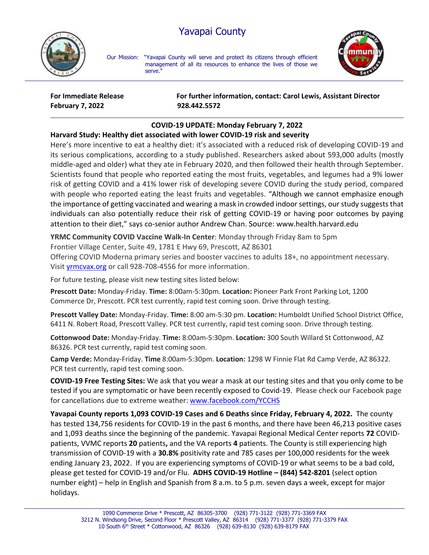## Yavapai County



Our Mission: "Yavapai County will serve and protect its citizens through efficient management of all its resources to enhance the lives of those we serve."



**February 7, 2022 928.442.5572**

**For Immediate Release For further information, contact: Carol Lewis, Assistant Director**

## **COVID-19 UPDATE: Monday February 7, 2022**

## **Harvard Study: Healthy diet associated with lower COVID-19 risk and severity**

Here's more incentive to eat a healthy diet: it's associated with a reduced risk of developing COVID-19 and its serious complications, according to a study published. Researchers asked about 593,000 adults (mostly middle-aged and older) what they ate in February 2020, and then followed their health through September. Scientists found that people who reported eating the most fruits, vegetables, and legumes had a 9% lower risk of getting COVID and a 41% lower risk of developing severe COVID during the study period, compared with people who reported eating the least fruits and vegetables. "Although we cannot emphasize enough the importance of getting vaccinated and wearing a mask in crowded indoor settings, our study suggests that individuals can also potentially reduce their risk of getting COVID-19 or having poor outcomes by paying attention to their diet," says co-senior author Andrew Chan. Source: www.health.harvard.edu

**YRMC Community COVID Vaccine Walk-In Center**: Monday through Friday 8am to 5pm

Frontier Village Center, Suite 49, 1781 E Hwy 69, Prescott, AZ 86301

Offering COVID Moderna primary series and booster vaccines to adults 18+, no appointment necessary. Visit [yrmcvax.org](https://linkprotect.cudasvc.com/url?a=https%3a%2f%2fyrmcvax.org&c=E,1,q40Ofnoev0yr7km1g-DAwNbLPdtUl8ma0yT-xQpGyBT4oKWbes7rmNl4wxE0mA-ExXbt46T6S4woyeMhmSYVqIPFL1DlHRtWy_Si--0k5MXUbASblwrd0zU,&typo=0) or call 928-708-4556 for more information.

For future testing, please visit new testing sites listed below:

**Prescott Date:** Monday-Friday. **Time:** 8:00am-5:30pm. **Location:** Pioneer Park Front Parking Lot, 1200 Commerce Dr, Prescott. PCR test currently, rapid test coming soon. Drive through testing.

**Prescott Valley Date:** Monday-Friday. **Time:** 8:00 am-5:30 pm. **Location:** Humboldt Unified School District Office, 6411 N. Robert Road, Prescott Valley. PCR test currently, rapid test coming soon. Drive through testing.

**Cottonwood Date:** Monday-Friday. **Time:** 8:00am-5:30pm. **Location:** 300 South Willard St Cottonwood, AZ 86326. PCR test currently, rapid test coming soon.

**Camp Verde:** Monday-Friday. **Time** 8:00am-5:30pm. **Location:** 1298 W Finnie Flat Rd Camp Verde, AZ 86322. PCR test currently, rapid test coming soon.

**COVID-19 Free Testing Sites:** We ask that you wear a mask at our testing sites and that you only come to be tested if you are symptomatic or have been recently exposed to Covid-19. Please check our Facebook page for cancellations due to extreme weather: [www.facebook.com/YCCHS](http://www.facebook.com/YCCHS)

**Yavapai County reports 1,093 COVID-19 Cases and 6 Deaths since Friday, February 4, 2022.** The county has tested 134,756 residents for COVID-19 in the past 6 months, and there have been 46,213 positive cases and 1,093 deaths since the beginning of the pandemic. Yavapai Regional Medical Center reports **72** COVIDpatients, VVMC reports **20** patients**,** and the VA reports **4** patients. The County is still experiencing high transmission of COVID-19 with a **30.8%** positivity rate and 785 cases per 100,000 residents for the week ending January 23, 2022. If you are experiencing symptoms of COVID-19 or what seems to be a bad cold, please get tested for COVID-19 and/or Flu. **ADHS COVID-19 Hotline – (844) 542-8201** (select option number eight) – help in English and Spanish from 8 a.m. to 5 p.m. seven days a week, except for major holidays.